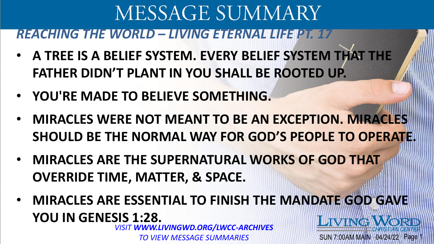*REACHING THE WORLD – LIVING ETERNAL LIFE PT. 17*

- **A TREE IS A BELIEF SYSTEM. EVERY BELIEF SYSTEM THAT THE FATHER DIDN'T PLANT IN YOU SHALL BE ROOTED UP.**
- **YOU'RE MADE TO BELIEVE SOMETHING.**
- **MIRACLES WERE NOT MEANT TO BE AN EXCEPTION. MIRACLES**  SHOULD BE THE NORMAL WAY FOR GOD'S PEOPLE TO OPERATE!
- **MIRACLES ARE THE SUPERNATURAL WORKS OF GOD THAT OVERRIDE TIME, MATTER, & SPACE.**
- **MIRACLES ARE ESSENTIAL TO FINISH THE MANDATE GOD GAVE YOU IN GENESIS 1:28. LIVING WORD** *VISIT WWW.LIVINGWD.ORG/LWCC-ARCHIVES*

SUN 7:00AM MAIN 04/24/22 Page

*TO VIEW MESSAGE SUMMARIES*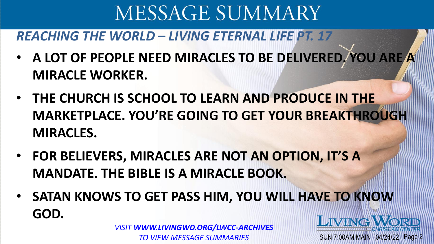#### *REACHING THE WORLD – LIVING ETERNAL LIFE PT. 17*

- **A LOT OF PEOPLE NEED MIRACLES TO BE DELIVERED. YOU ARE A MIRACLE WORKER.**
- **THE CHURCH IS SCHOOL TO LEARN AND PRODUCE IN THE MARKETPLACE. YOU'RE GOING TO GET YOUR BREAKTHROUGH MIRACLES.**
- **FOR BELIEVERS, MIRACLES ARE NOT AN OPTION, IT'S A MANDATE. THE BIBLE IS A MIRACLE BOOK.**
- **SATAN KNOWS TO GET PASS HIM, YOU WILL HAVE TO KNOW GOD. LIVING WORL**

SUN 7:00AM MAIN 04/24/22 Page 2

*VISIT WWW.LIVINGWD.ORG/LWCC-ARCHIVES TO VIEW MESSAGE SUMMARIES*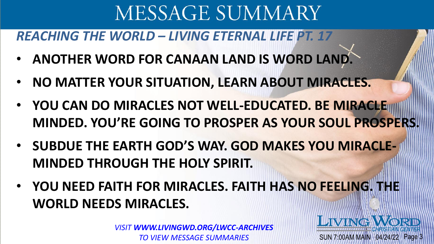*REACHING THE WORLD – LIVING ETERNAL LIFE PT. 17*

- **ANOTHER WORD FOR CANAAN LAND IS WORD LAND.**
- **NO MATTER YOUR SITUATION, LEARN ABOUT MIRACLES.**
- **YOU CAN DO MIRACLES NOT WELL-EDUCATED. BE MIRACLE MINDED. YOU'RE GOING TO PROSPER AS YOUR SOUL PROSPERS.**
- **SUBDUE THE EARTH GOD'S WAY. GOD MAKES YOU MIRACLE-MINDED THROUGH THE HOLY SPIRIT.**
- **YOU NEED FAITH FOR MIRACLES. FAITH HAS NO FEELING. THE WORLD NEEDS MIRACLES.**

SUN 7:00AM MAIN 04/24/22 Page 3

LIVING

*VISIT WWW.LIVINGWD.ORG/LWCC-ARCHIVES TO VIEW MESSAGE SUMMARIES*